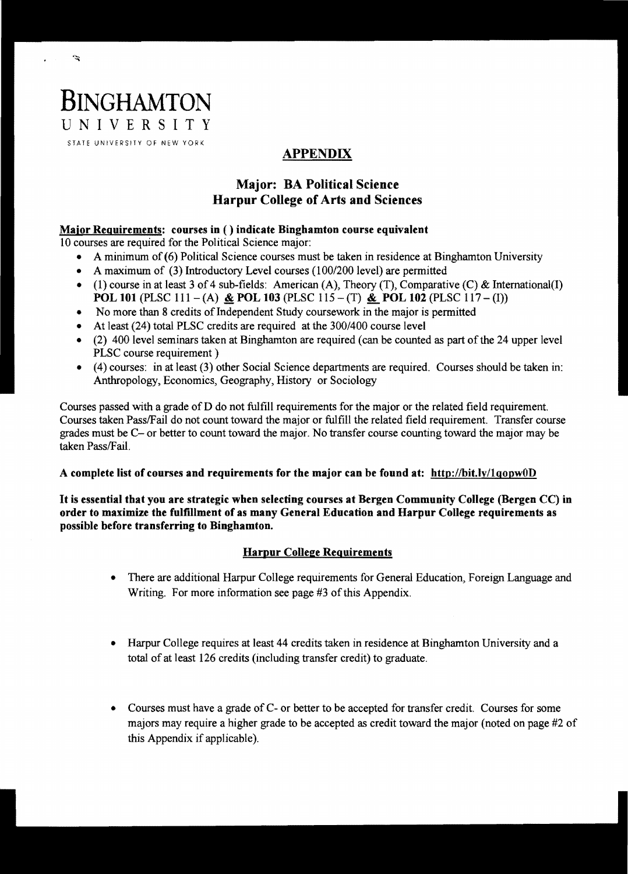

 $\tilde{\mathcal{F}}$ 

# APPENDIX

## Major: BA Political Science Harpur College of Arts and Sciences

### Major Reguirements: courses in ( ) indicate Binghamton course equivalent

10 courses are required for the Political Science major:

- A minimum of (6) Political Science courses must be taken in residence at Binghamton University
- A maximum of (3) Introductory Level courses *(100/200* level) are permitted
- (1) course in at least 3 of 4 sub-fields: American (A), Theory (T), Comparative (C) & International(I) **POL 101** (PLSC 111 - (A)  $\&$  **POL 103** (PLSC 115 - (T)  $\&$  **POL 102** (PLSC 117 - (I))
- No more than 8 credits of Independent Study coursework in the major is permitted
- At least (24) total PLSC credits are required at the *300/400* course level
- $\bullet$  (2) 400 level seminars taken at Binghamton are required (can be counted as part of the 24 upper level PLSC course requirement)
- (4) courses: in at least (3) other Social Science departments are required. Courses should be taken in: Anthropology, Economics, Geography, History or Sociology

Courses passed with a grade of D do not fulfill requirements for the major or the related field requirement. Courses taken PasslFail do not count toward the major or fulfill the related field requirement. Transfer course grades must be C- or better to count toward the major. No transfer course counting toward the major may be taken Pass/Fail.

#### A complete list of courses and requirements for the major can be found at: http://bit.ly/lgopwOD

It is essential that you are strategic when selecting courses at Bergen Community College (Bergen CC) in order to maximize the fulfillment of as many General Education and Harpur College requirements as possible before transferring to Binghamton.

## Harpur College Requirements

- There are additional Harpur College requirements for General Education, Foreign Language and Writing. For more information see page #3 of this Appendix.
- Harpur College requires at least 44 credits taken in residence at Binghamton University and a total of at least 126 credits (including transfer credit) to graduate.
- Courses must have a grade of C- or better to be accepted for transfer credit. Courses for some majors may require a higher grade to be accepted as credit toward the major (noted on page #2 of this Appendix if applicable).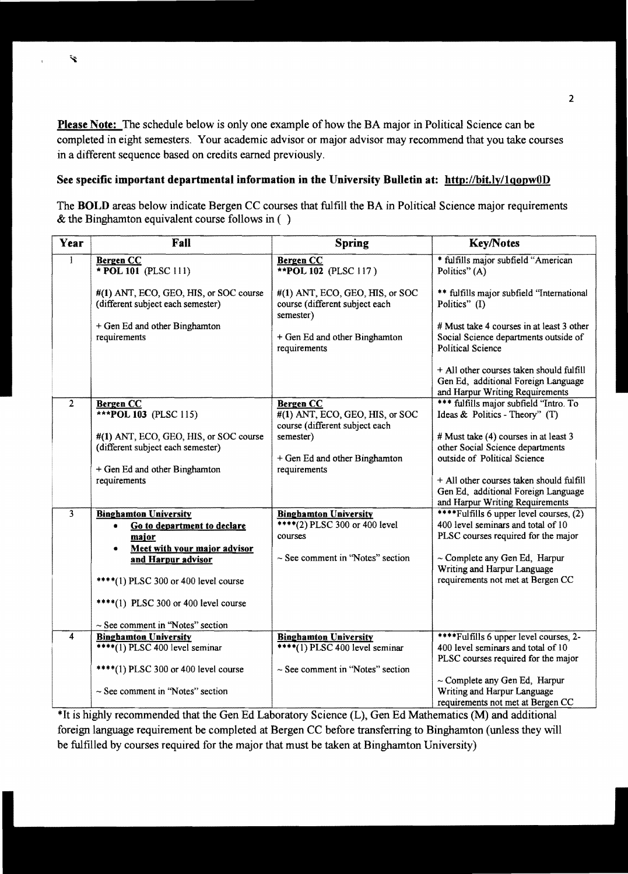Please Note: The schedule below is only one example of how the BA major in Political Science can be completed in eight semesters. Your academic advisor or major advisor may recommend that you take courses in a different sequence based on credits earned previously.

#### See specific important departmental information in the University Bulletin at: http://bit.ly/1qopw0D

The BOLD areas below indicate Bergen CC courses that fulfill the BA in Political Science major requirements & the Binghamton equivalent course follows in ( )

| Year           | Fall                                                                                                                                         | <b>Spring</b>                                                                                                     | <b>Key/Notes</b>                                                                                                                                                                     |
|----------------|----------------------------------------------------------------------------------------------------------------------------------------------|-------------------------------------------------------------------------------------------------------------------|--------------------------------------------------------------------------------------------------------------------------------------------------------------------------------------|
| $\mathbf{l}$   | <b>Bergen CC</b><br>$*$ POL 101 (PLSC 111)                                                                                                   | <b>Bergen CC</b><br><b>**POL 102</b> (PLSC 117)                                                                   | * fulfills major subfield "American<br>Politics" (A)                                                                                                                                 |
|                | #(1) ANT, ECO, GEO, HIS, or SOC course<br>(different subject each semester)                                                                  | $#(1)$ ANT, ECO, GEO, HIS, or SOC<br>course (different subject each<br>semester)                                  | ** fulfills major subfield "International<br>Politics" (I)                                                                                                                           |
|                | + Gen Ed and other Binghamton<br>requirements                                                                                                | + Gen Ed and other Binghamton<br>requirements                                                                     | # Must take 4 courses in at least 3 other<br>Social Science departments outside of<br><b>Political Science</b>                                                                       |
|                |                                                                                                                                              |                                                                                                                   | + All other courses taken should fulfill<br>Gen Ed, additional Foreign Language<br>and Harpur Writing Requirements                                                                   |
| $\overline{2}$ | <b>Bergen CC</b><br>***POL 103 (PLSC 115)                                                                                                    | <b>Bergen CC</b><br>$#(1)$ ANT, ECO, GEO, HIS, or SOC<br>course (different subject each                           | *** fulfills major subfield 'Intro. To<br>Ideas & Politics - Theory" (T)                                                                                                             |
|                | #(1) ANT, ECO, GEO, HIS, or SOC course<br>(different subject each semester)                                                                  | semester)<br>+ Gen Ed and other Binghamton                                                                        | # Must take (4) courses in at least 3<br>other Social Science departments<br>outside of Political Science                                                                            |
|                | + Gen Ed and other Binghamton<br>requirements                                                                                                | requirements                                                                                                      | + All other courses taken should fulfill<br>Gen Ed, additional Foreign Language<br>and Harpur Writing Requirements                                                                   |
| 3              | <b>Binghamton University</b><br>Go to department to declare<br>٠<br>major<br>Meet with your major advisor<br>$\bullet$<br>and Harpur advisor | <b>Binghamton University</b><br>****(2) PLSC 300 or 400 level<br>courses<br>$\sim$ See comment in "Notes" section | ****Fulfills 6 upper level courses, (2)<br>400 level seminars and total of 10<br>PLSC courses required for the major<br>~ Complete any Gen Ed, Harpur<br>Writing and Harpur Language |
|                | **** $(1)$ PLSC 300 or 400 level course                                                                                                      |                                                                                                                   | requirements not met at Bergen CC                                                                                                                                                    |
|                | ****(1) PLSC 300 or 400 level course<br>$\sim$ See comment in "Notes" section                                                                |                                                                                                                   |                                                                                                                                                                                      |
| 4              | <b>Binghamton University</b><br>****(1) PLSC 400 level seminar                                                                               | <b>Binghamton University</b><br>****(1) PLSC 400 level seminar                                                    | ****Fulfills 6 upper level courses, 2-<br>400 level seminars and total of 10<br>PLSC courses required for the major                                                                  |
|                | ****(1) PLSC 300 or 400 level course<br>$\sim$ See comment in "Notes" section                                                                | $\sim$ See comment in "Notes" section                                                                             | $\sim$ Complete any Gen Ed, Harpur<br>Writing and Harpur Language<br>requirements not met at Bergen CC                                                                               |

\*It is highly recommended that the Gen Ed Laboratory Science (L), Gen Ed Mathematics (M) and additional foreign language requirement be completed at Bergen CC before transferring to Binghamton (unless they will be fulfilled by courses required for the major that must be taken at Binghamton University)